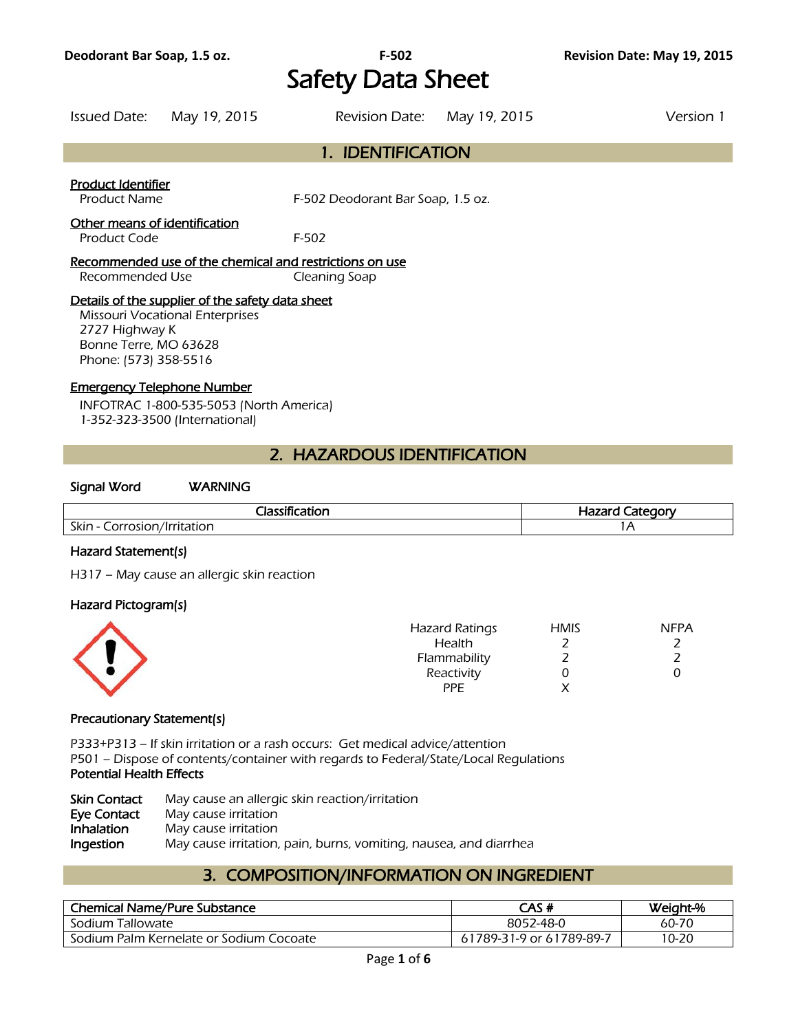# Safety Data Sheet

Issued Date: May 19, 2015 Revision Date: May 19, 2015 Version 1

## 1. IDENTIFICATION

#### Product Identifier

Product Name F-502 Deodorant Bar Soap, 1.5 oz.

## Other means of identification

Product Code F-502

#### Recommended use of the chemical and restrictions on use Recommended Use Cleaning Soap

## Details of the supplier of the safety data sheet

Missouri Vocational Enterprises 2727 Highway K Bonne Terre, MO 63628 Phone: (573) 358-5516

## Emergency Telephone Number

INFOTRAC 1-800-535-5053 (North America) 1-352-323-3500 (International)

## 2. HAZARDOUS IDENTIFICATION

#### Signal Word WARNING

| <b><i>STARTS</i></b><br>- 14                        | noni<br>コつつか<br>7az, |
|-----------------------------------------------------|----------------------|
| Skin<br>---------<br>าr<br>$\overline{\phantom{a}}$ |                      |
|                                                     |                      |

## Hazard Statement(s)

H317 – May cause an allergic skin reaction

#### Hazard Pictogram(s)

| <b>Hazard Ratings</b> | <b>HMIS</b> | <b>NFPA</b> |
|-----------------------|-------------|-------------|
| Health                |             |             |
| Flammability          |             |             |
| Reactivity            |             |             |
| <b>PPE</b>            |             |             |
|                       |             |             |

## Precautionary Statement(s)

P333+P313 – If skin irritation or a rash occurs: Get medical advice/attention P501 – Dispose of contents/container with regards to Federal/State/Local Regulations Potential Health Effects

| <b>Skin Contact</b> | May cause an allergic skin reaction/irritation                    |
|---------------------|-------------------------------------------------------------------|
| Eye Contact         | May cause irritation                                              |
| <b>Inhalation</b>   | May cause irritation                                              |
| Ingestion           | May cause irritation, pain, burns, vomiting, nausea, and diarrhea |

## 3. COMPOSITION/INFORMATION ON INGREDIENT

| <b>Chemical Name/Pure Substance</b>     | CAS #                    | Weight-% |
|-----------------------------------------|--------------------------|----------|
| Sodium Tallowate                        | 8052-48-0                | 60-70    |
| Sodium Palm Kernelate or Sodium Cocoate | 61789-31-9 or 61789-89-7 | 10-20    |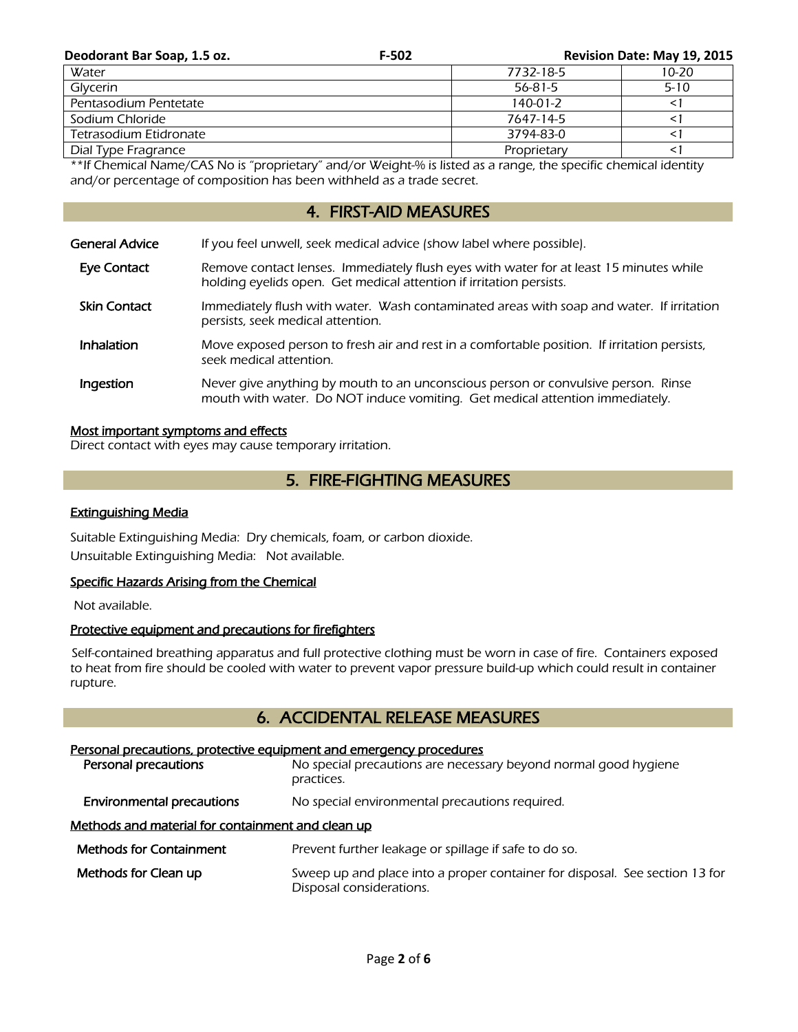| Deodorant Bar Soap, 1.5 oz. | $F-502$ |               | Revision Date: May 19, 2015 |
|-----------------------------|---------|---------------|-----------------------------|
| Water                       |         | 7732-18-5     | $10 - 20$                   |
| Glycerin                    |         | $56 - 81 - 5$ | $5 - 10$                    |
| Pentasodium Pentetate       |         | $140-01-2$    |                             |
| Sodium Chloride             |         | 7647-14-5     |                             |
| Tetrasodium Etidronate      |         | 3794-83-0     |                             |
| Dial Type Fragrance         |         | Proprietary   |                             |

\*\*If Chemical Name/CAS No is "proprietary" and/or Weight-% is listed as a range, the specific chemical identity and/or percentage of composition has been withheld as a trade secret.

## 4. FIRST-AID MEASURES

| General Advice      | If you feel unwell, seek medical advice (show label where possible).                                                                                              |
|---------------------|-------------------------------------------------------------------------------------------------------------------------------------------------------------------|
| Eye Contact         | Remove contact lenses. Immediately flush eyes with water for at least 15 minutes while<br>holding eyelids open. Get medical attention if irritation persists.     |
| <b>Skin Contact</b> | Immediately flush with water. Wash contaminated areas with soap and water. If irritation<br>persists, seek medical attention.                                     |
| <b>Inhalation</b>   | Move exposed person to fresh air and rest in a comfortable position. If irritation persists,<br>seek medical attention.                                           |
| Ingestion           | Never give anything by mouth to an unconscious person or convulsive person. Rinse<br>mouth with water. Do NOT induce vomiting. Get medical attention immediately. |

## Most important symptoms and effects

Direct contact with eyes may cause temporary irritation.

## 5. FIRE-FIGHTING MEASURES

## Extinguishing Media

Suitable Extinguishing Media: Dry chemicals, foam, or carbon dioxide. Unsuitable Extinguishing Media: Not available.

## Specific Hazards Arising from the Chemical

Not available.

## Protective equipment and precautions for firefighters

 Self-contained breathing apparatus and full protective clothing must be worn in case of fire. Containers exposed to heat from fire should be cooled with water to prevent vapor pressure build-up which could result in container rupture.

## 6. ACCIDENTAL RELEASE MEASURES

# Personal precautions, protective equipment and emergency procedures **Personal precautions** No special precautions are necessary beyond normal good hygiene practices. **Environmental precautions** No special environmental precautions required. Methods and material for containment and clean up Methods for Containment Prevent further leakage or spillage if safe to do so. Methods for Clean up Sweep up and place into a proper container for disposal. See section 13 for Disposal considerations.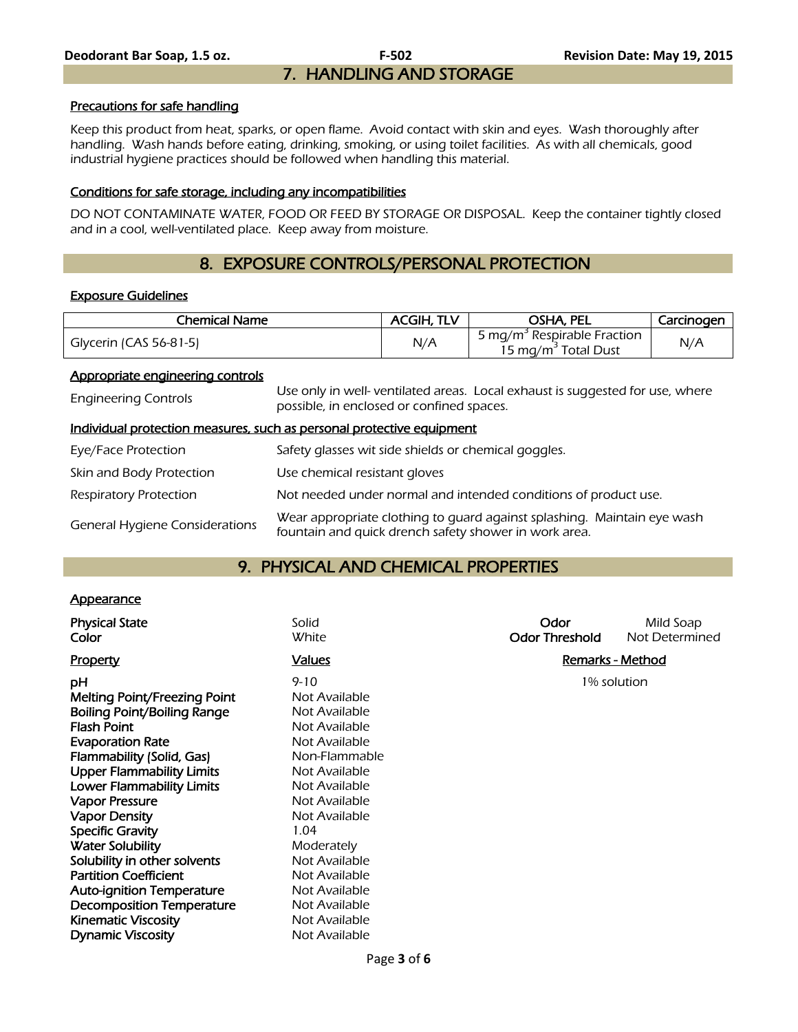#### Precautions for safe handling

Keep this product from heat, sparks, or open flame. Avoid contact with skin and eyes. Wash thoroughly after handling. Wash hands before eating, drinking, smoking, or using toilet facilities. As with all chemicals, good industrial hygiene practices should be followed when handling this material.

#### Conditions for safe storage, including any incompatibilities

DO NOT CONTAMINATE WATER, FOOD OR FEED BY STORAGE OR DISPOSAL. Keep the container tightly closed and in a cool, well-ventilated place. Keep away from moisture.

# 8. EXPOSURE CONTROLS/PERSONAL PROTECTION

#### Exposure Guidelines

| Chemical Name          | <b>ACGIH, TLV</b> | OSHA, PEL                                                                  | Carcinogen |
|------------------------|-------------------|----------------------------------------------------------------------------|------------|
| Glycerin (CAS 56-81-5) | N/A               | 5 mg/m <sup>3</sup> Respirable Fraction<br>15 mg/m <sup>2</sup> Total Dust | N/A        |

#### Appropriate engineering controls

| <b>Engineering Controls</b>           | Use only in well- ventilated areas. Local exhaust is suggested for use, where<br>possible, in enclosed or confined spaces.       |
|---------------------------------------|----------------------------------------------------------------------------------------------------------------------------------|
|                                       | Individual protection measures, such as personal protective equipment                                                            |
| Eye/Face Protection                   | Safety glasses wit side shields or chemical goggles.                                                                             |
| Skin and Body Protection              | Use chemical resistant gloves                                                                                                    |
| <b>Respiratory Protection</b>         | Not needed under normal and intended conditions of product use.                                                                  |
| <b>General Hygiene Considerations</b> | Wear appropriate clothing to quard against splashing. Maintain eye wash<br>fountain and quick drench safety shower in work area. |

## 9. PHYSICAL AND CHEMICAL PROPERTIES

## **Appearance**

| <b>Physical State</b><br>Color                                                                                                                                                                                                                                                                                                                                                                 | Solid<br>White                                                                                                                                                                                                            | Odor<br><b>Odor Threshold</b> | Mild Soap<br>Not Determined |
|------------------------------------------------------------------------------------------------------------------------------------------------------------------------------------------------------------------------------------------------------------------------------------------------------------------------------------------------------------------------------------------------|---------------------------------------------------------------------------------------------------------------------------------------------------------------------------------------------------------------------------|-------------------------------|-----------------------------|
| <b>Property</b>                                                                                                                                                                                                                                                                                                                                                                                | <b>Values</b>                                                                                                                                                                                                             |                               | Remarks - Method            |
| рH<br>Melting Point/Freezing Point<br>Boiling Point/Boiling Range<br><b>Flash Point</b><br><b>Evaporation Rate</b><br>Flammability (Solid, Gas)<br><b>Upper Flammability Limits</b><br><b>Lower Flammability Limits</b><br><b>Vapor Pressure</b><br><b>Vapor Density</b><br><b>Specific Gravity</b><br><b>Water Solubility</b><br>Solubility in other solvents<br><b>Partition Coefficient</b> | $9 - 10$<br>Not Available<br>Not Available<br>Not Available<br>Not Available<br>Non-Flammable<br>Not Available<br>Not Available<br>Not Available<br>Not Available<br>1.04<br>Moderately<br>Not Available<br>Not Available |                               | 1% solution                 |
| <b>Auto-ignition Temperature</b>                                                                                                                                                                                                                                                                                                                                                               | Not Available                                                                                                                                                                                                             |                               |                             |
| <b>Decomposition Temperature</b>                                                                                                                                                                                                                                                                                                                                                               | Not Available                                                                                                                                                                                                             |                               |                             |
| <b>Kinematic Viscosity</b>                                                                                                                                                                                                                                                                                                                                                                     | Not Available                                                                                                                                                                                                             |                               |                             |
| <b>Dynamic Viscosity</b>                                                                                                                                                                                                                                                                                                                                                                       | Not Available                                                                                                                                                                                                             |                               |                             |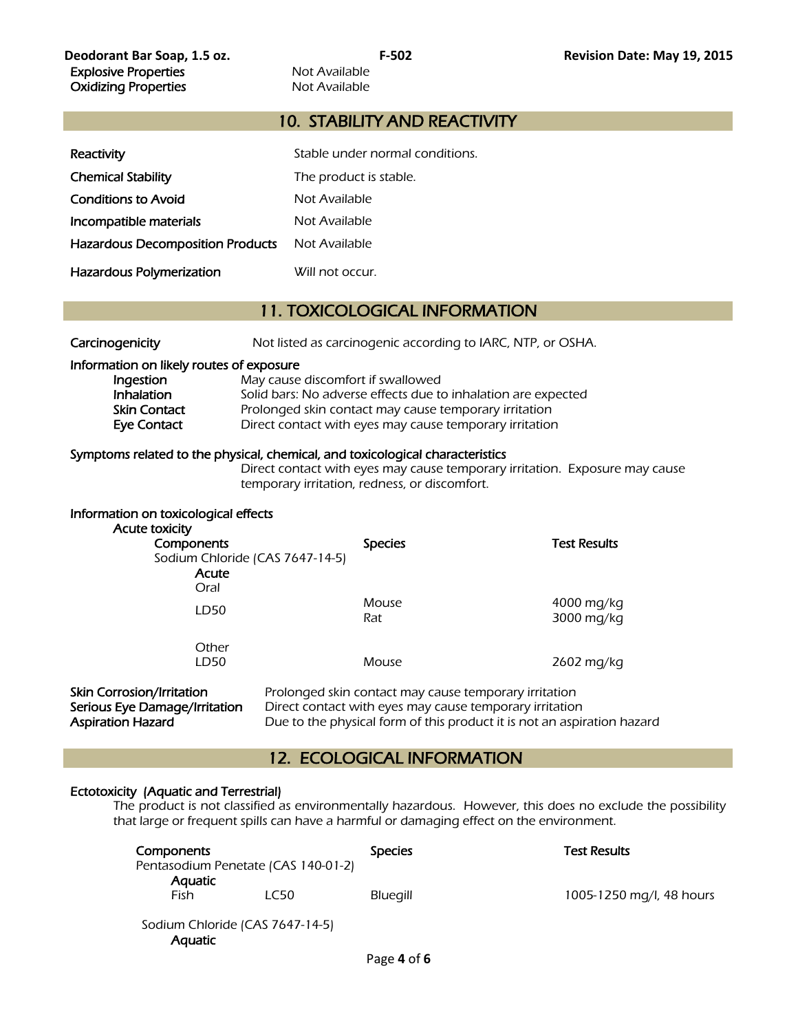## 10. STABILITY AND REACTIVITY

| Reactivity                              | Stable under normal conditions. |
|-----------------------------------------|---------------------------------|
| <b>Chemical Stability</b>               | The product is stable.          |
| <b>Conditions to Avoid</b>              | Not Available                   |
| Incompatible materials                  | Not Available                   |
| <b>Hazardous Decomposition Products</b> | Not Available                   |
| Hazardous Polymerization                | Will not occur.                 |

## 11. TOXICOLOGICAL INFORMATION

| Carcinogenicity |  |
|-----------------|--|
|                 |  |

Not listed as carcinogenic according to IARC, NTP, or OSHA.

#### Information on likely routes of exposure

| Ingestion    | May cause discomfort if swallowed                             |
|--------------|---------------------------------------------------------------|
| Inhalation   | Solid bars: No adverse effects due to inhalation are expected |
| Skin Contact | Prolonged skin contact may cause temporary irritation         |
| Eye Contact  | Direct contact with eyes may cause temporary irritation       |

#### Symptoms related to the physical, chemical, and toxicological characteristics

 Direct contact with eyes may cause temporary irritation. Exposure may cause temporary irritation, redness, or discomfort.

| Information on toxicological effects<br>Acute toxicity<br>Components<br>Sodium Chloride (CAS 7647-14-5)<br>Acute | <b>Species</b>                                        | <b>Test Results</b>      |
|------------------------------------------------------------------------------------------------------------------|-------------------------------------------------------|--------------------------|
| Oral<br>LD50                                                                                                     | Mouse<br>Rat                                          | 4000 mg/kg<br>3000 mg/kg |
| Other<br>LD50                                                                                                    | Mouse                                                 | 2602 mg/kg               |
| <b>Skin Corrosion/Irritation</b>                                                                                 | Prolonged skin contact may cause temporary irritation |                          |

Serious Eye Damage/Irritation Direct contact with eyes may cause temporary irritation Aspiration Hazard **Due to the physical form of this product** it is not an aspiration hazard

## 12. ECOLOGICAL INFORMATION

## Ectotoxicity (Aquatic and Terrestrial)

The product is not classified as environmentally hazardous. However, this does no exclude the possibility that large or frequent spills can have a harmful or damaging effect on the environment.

| Components                          |                                 | <b>Species</b>  | <b>Test Results</b>      |
|-------------------------------------|---------------------------------|-----------------|--------------------------|
| Pentasodium Penetate (CAS 140-01-2) |                                 |                 |                          |
| <b>Aquatic</b>                      |                                 |                 |                          |
| Fish                                | LC50                            | <b>Bluegill</b> | 1005-1250 mg/l, 48 hours |
| Aguatic                             | Sodium Chloride (CAS 7647-14-5) |                 |                          |
|                                     |                                 |                 |                          |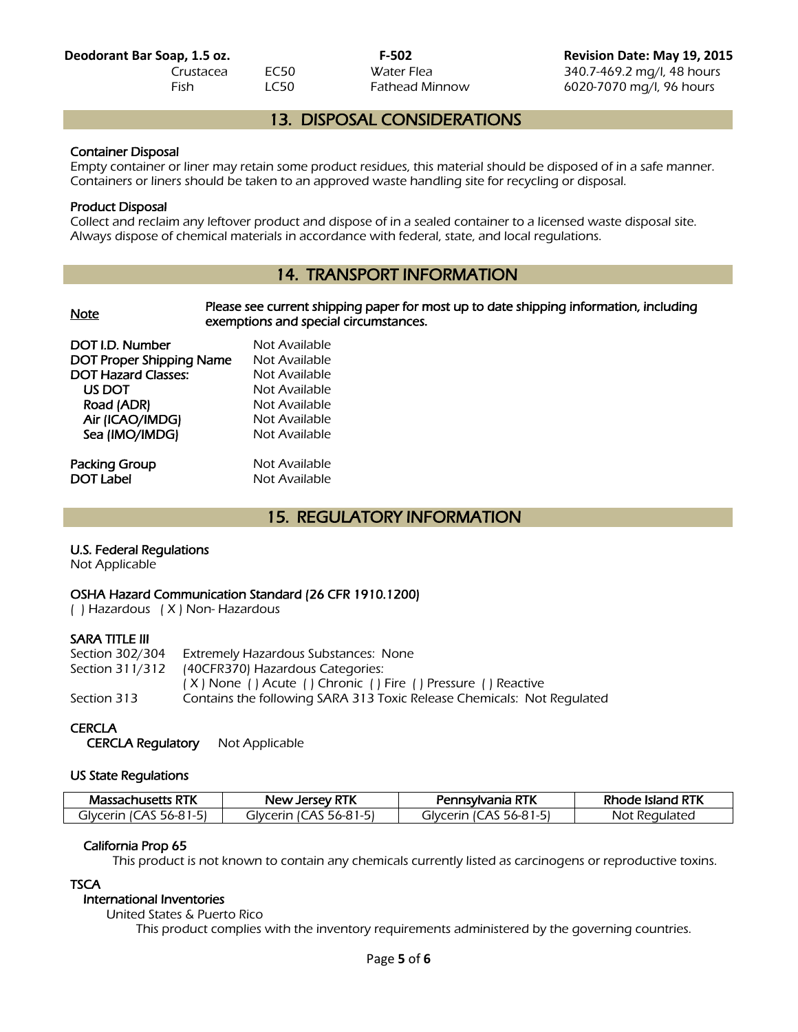**Deodorant Bar Soap, 1.5 oz. F-502 Revision Date: May 19, 2015** Crustacea EC50 Water Flea 340.7-469.2 mg/l, 48 hours Fish LC50 Fathead Minnow 6020-7070 mg/l, 96 hours

## 13. DISPOSAL CONSIDERATIONS

## Container Disposal

Empty container or liner may retain some product residues, this material should be disposed of in a safe manner. Containers or liners should be taken to an approved waste handling site for recycling or disposal.

## Product Disposal

Collect and reclaim any leftover product and dispose of in a sealed container to a licensed waste disposal site. Always dispose of chemical materials in accordance with federal, state, and local regulations.

# 14. TRANSPORT INFORMATION

| <b>Note</b>                | Please see current shipping paper for most up to date shipping information, including<br>exemptions and special circumstances. |  |
|----------------------------|--------------------------------------------------------------------------------------------------------------------------------|--|
| DOT I.D. Number            | Not Available                                                                                                                  |  |
| DOT Proper Shipping Name   | Not Available                                                                                                                  |  |
| <b>DOT Hazard Classes:</b> | Not Available                                                                                                                  |  |
| US DOT                     | Not Available                                                                                                                  |  |
| Road (ADR)                 | Not Available                                                                                                                  |  |
| Air (ICAO/IMDG)            | Not Available                                                                                                                  |  |
| Sea (IMO/IMDG)             | Not Available                                                                                                                  |  |
| Packing Group              | Not Available                                                                                                                  |  |
| <b>DOT Label</b>           | Not Available                                                                                                                  |  |

## 15. REGULATORY INFORMATION

## U.S. Federal Regulations

Not Applicable

## OSHA Hazard Communication Standard (26 CFR 1910.1200)

( ) Hazardous ( X ) Non- Hazardous

## SARA TITLE III

| Extremely Hazardous Substances: None                                   |  |
|------------------------------------------------------------------------|--|
| Section 311/312 (40CFR370) Hazardous Categories:                       |  |
| (X) None () Acute () Chronic () Fire () Pressure () Reactive           |  |
| Contains the following SARA 313 Toxic Release Chemicals: Not Regulated |  |
|                                                                        |  |

## **CERCLA**

CERCLA Regulatory Not Applicable

## US State Regulations

| <b>Massachusetts RTK</b>     | <b>New Jersey RTK</b>        | Pennsylvania RTK            | : Island RTK<br>one. |
|------------------------------|------------------------------|-----------------------------|----------------------|
| 56-81-51<br>cerin IC) ت<br>A | `Arır<br>، الح<br>A<br>56-81 | 56-81.<br>alvc<br>erın<br>A | t Regulated<br>Not   |

## California Prop 65

This product is not known to contain any chemicals currently listed as carcinogens or reproductive toxins.

## **TSCA**

# International Inventories

United States & Puerto Rico

This product complies with the inventory requirements administered by the governing countries.